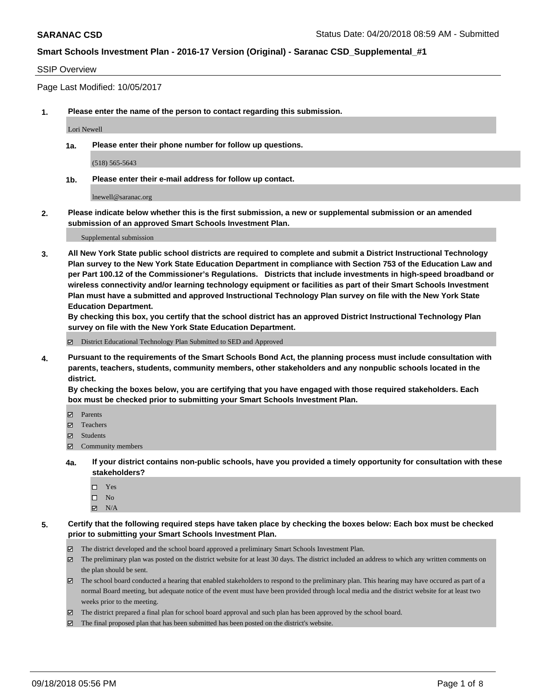#### SSIP Overview

Page Last Modified: 10/05/2017

**1. Please enter the name of the person to contact regarding this submission.**

Lori Newell

**1a. Please enter their phone number for follow up questions.**

(518) 565-5643

**1b. Please enter their e-mail address for follow up contact.**

lnewell@saranac.org

**2. Please indicate below whether this is the first submission, a new or supplemental submission or an amended submission of an approved Smart Schools Investment Plan.**

Supplemental submission

**3. All New York State public school districts are required to complete and submit a District Instructional Technology Plan survey to the New York State Education Department in compliance with Section 753 of the Education Law and per Part 100.12 of the Commissioner's Regulations. Districts that include investments in high-speed broadband or wireless connectivity and/or learning technology equipment or facilities as part of their Smart Schools Investment Plan must have a submitted and approved Instructional Technology Plan survey on file with the New York State Education Department.** 

**By checking this box, you certify that the school district has an approved District Instructional Technology Plan survey on file with the New York State Education Department.**

District Educational Technology Plan Submitted to SED and Approved

**4. Pursuant to the requirements of the Smart Schools Bond Act, the planning process must include consultation with parents, teachers, students, community members, other stakeholders and any nonpublic schools located in the district.** 

**By checking the boxes below, you are certifying that you have engaged with those required stakeholders. Each box must be checked prior to submitting your Smart Schools Investment Plan.**

- Parents
- Teachers
- Students
- $\Xi$  Community members
- **4a. If your district contains non-public schools, have you provided a timely opportunity for consultation with these stakeholders?**
	- Yes
	- $\square$  No
	- $N/A$
- **5. Certify that the following required steps have taken place by checking the boxes below: Each box must be checked prior to submitting your Smart Schools Investment Plan.**
	- The district developed and the school board approved a preliminary Smart Schools Investment Plan.
	- $\boxtimes$  The preliminary plan was posted on the district website for at least 30 days. The district included an address to which any written comments on the plan should be sent.
	- $\boxtimes$  The school board conducted a hearing that enabled stakeholders to respond to the preliminary plan. This hearing may have occured as part of a normal Board meeting, but adequate notice of the event must have been provided through local media and the district website for at least two weeks prior to the meeting.
	- The district prepared a final plan for school board approval and such plan has been approved by the school board.
	- $\boxtimes$  The final proposed plan that has been submitted has been posted on the district's website.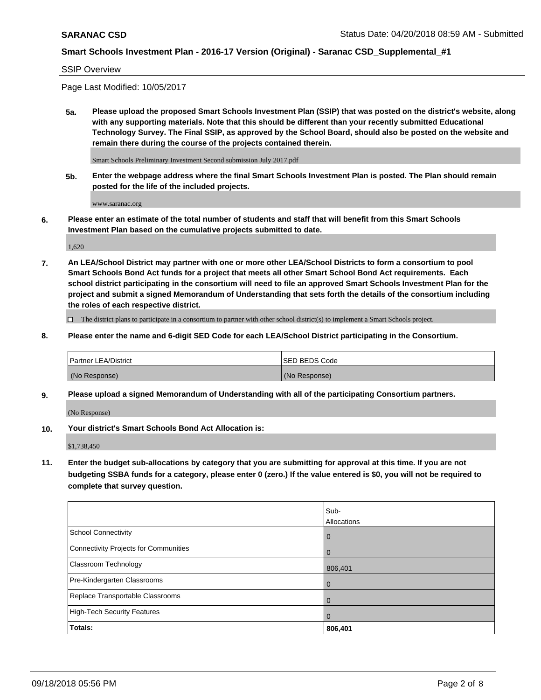### SSIP Overview

Page Last Modified: 10/05/2017

**5a. Please upload the proposed Smart Schools Investment Plan (SSIP) that was posted on the district's website, along with any supporting materials. Note that this should be different than your recently submitted Educational Technology Survey. The Final SSIP, as approved by the School Board, should also be posted on the website and remain there during the course of the projects contained therein.**

Smart Schools Preliminary Investment Second submission July 2017.pdf

**5b. Enter the webpage address where the final Smart Schools Investment Plan is posted. The Plan should remain posted for the life of the included projects.**

www.saranac.org

**6. Please enter an estimate of the total number of students and staff that will benefit from this Smart Schools Investment Plan based on the cumulative projects submitted to date.**

1,620

**7. An LEA/School District may partner with one or more other LEA/School Districts to form a consortium to pool Smart Schools Bond Act funds for a project that meets all other Smart School Bond Act requirements. Each school district participating in the consortium will need to file an approved Smart Schools Investment Plan for the project and submit a signed Memorandum of Understanding that sets forth the details of the consortium including the roles of each respective district.**

 $\Box$  The district plans to participate in a consortium to partner with other school district(s) to implement a Smart Schools project.

**8. Please enter the name and 6-digit SED Code for each LEA/School District participating in the Consortium.**

| <b>Partner LEA/District</b> | <b>ISED BEDS Code</b> |
|-----------------------------|-----------------------|
| (No Response)               | (No Response)         |

**9. Please upload a signed Memorandum of Understanding with all of the participating Consortium partners.**

(No Response)

**10. Your district's Smart Schools Bond Act Allocation is:**

\$1,738,450

**11. Enter the budget sub-allocations by category that you are submitting for approval at this time. If you are not budgeting SSBA funds for a category, please enter 0 (zero.) If the value entered is \$0, you will not be required to complete that survey question.**

|                                              | Sub-<br>Allocations |
|----------------------------------------------|---------------------|
| <b>School Connectivity</b>                   |                     |
|                                              | $\Omega$            |
| <b>Connectivity Projects for Communities</b> | $\Omega$            |
| <b>Classroom Technology</b>                  | 806,401             |
| Pre-Kindergarten Classrooms                  | $\Omega$            |
| Replace Transportable Classrooms             | u                   |
| <b>High-Tech Security Features</b>           | O                   |
| Totals:                                      | 806,401             |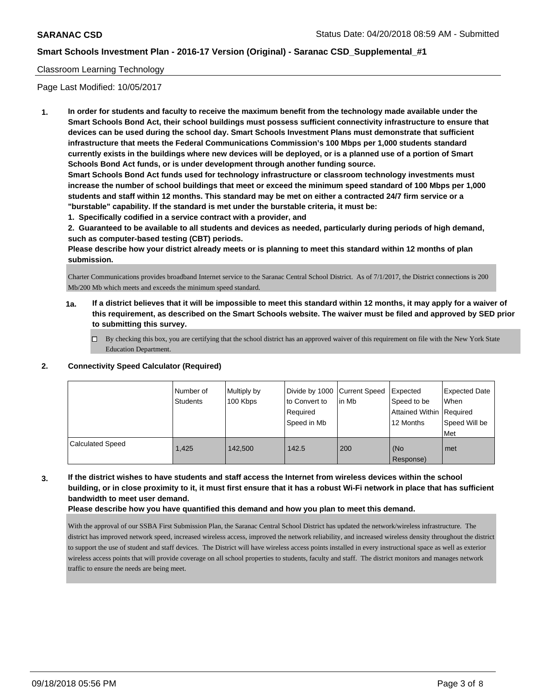### Classroom Learning Technology

Page Last Modified: 10/05/2017

**1. In order for students and faculty to receive the maximum benefit from the technology made available under the Smart Schools Bond Act, their school buildings must possess sufficient connectivity infrastructure to ensure that devices can be used during the school day. Smart Schools Investment Plans must demonstrate that sufficient infrastructure that meets the Federal Communications Commission's 100 Mbps per 1,000 students standard currently exists in the buildings where new devices will be deployed, or is a planned use of a portion of Smart Schools Bond Act funds, or is under development through another funding source.**

**Smart Schools Bond Act funds used for technology infrastructure or classroom technology investments must increase the number of school buildings that meet or exceed the minimum speed standard of 100 Mbps per 1,000 students and staff within 12 months. This standard may be met on either a contracted 24/7 firm service or a "burstable" capability. If the standard is met under the burstable criteria, it must be:**

**1. Specifically codified in a service contract with a provider, and**

**2. Guaranteed to be available to all students and devices as needed, particularly during periods of high demand, such as computer-based testing (CBT) periods.**

**Please describe how your district already meets or is planning to meet this standard within 12 months of plan submission.**

Charter Communications provides broadband Internet service to the Saranac Central School District. As of 7/1/2017, the District connections is 200 Mb/200 Mb which meets and exceeds the minimum speed standard.

- **1a. If a district believes that it will be impossible to meet this standard within 12 months, it may apply for a waiver of this requirement, as described on the Smart Schools website. The waiver must be filed and approved by SED prior to submitting this survey.**
	- By checking this box, you are certifying that the school district has an approved waiver of this requirement on file with the New York State Education Department.

### **2. Connectivity Speed Calculator (Required)**

|                         | Number of<br><b>Students</b> | Multiply by<br>100 Kbps | Divide by 1000 Current Speed<br>to Convert to<br>Required<br>Speed in Mb | l in Mb | Expected<br>Speed to be<br>Attained Within   Required<br>12 Months | <b>Expected Date</b><br>When<br>Speed Will be<br>Met |
|-------------------------|------------------------------|-------------------------|--------------------------------------------------------------------------|---------|--------------------------------------------------------------------|------------------------------------------------------|
| <b>Calculated Speed</b> | 1,425                        | 142,500                 | 142.5                                                                    | 200     | (No<br>Response)                                                   | met                                                  |

**3. If the district wishes to have students and staff access the Internet from wireless devices within the school building, or in close proximity to it, it must first ensure that it has a robust Wi-Fi network in place that has sufficient bandwidth to meet user demand.**

**Please describe how you have quantified this demand and how you plan to meet this demand.**

With the approval of our SSBA First Submission Plan, the Saranac Central School District has updated the network/wireless infrastructure. The district has improved network speed, increased wireless access, improved the network reliability, and increased wireless density throughout the district to support the use of student and staff devices. The District will have wireless access points installed in every instructional space as well as exterior wireless access points that will provide coverage on all school properties to students, faculty and staff. The district monitors and manages network traffic to ensure the needs are being meet.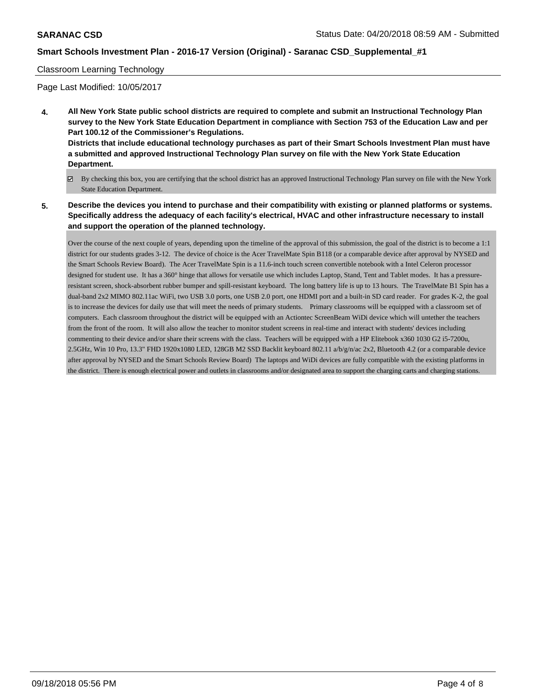#### Classroom Learning Technology

Page Last Modified: 10/05/2017

- **4. All New York State public school districts are required to complete and submit an Instructional Technology Plan survey to the New York State Education Department in compliance with Section 753 of the Education Law and per Part 100.12 of the Commissioner's Regulations. Districts that include educational technology purchases as part of their Smart Schools Investment Plan must have a submitted and approved Instructional Technology Plan survey on file with the New York State Education Department.**
	- By checking this box, you are certifying that the school district has an approved Instructional Technology Plan survey on file with the New York State Education Department.
- **5. Describe the devices you intend to purchase and their compatibility with existing or planned platforms or systems. Specifically address the adequacy of each facility's electrical, HVAC and other infrastructure necessary to install and support the operation of the planned technology.**

Over the course of the next couple of years, depending upon the timeline of the approval of this submission, the goal of the district is to become a 1:1 district for our students grades 3-12. The device of choice is the Acer TravelMate Spin B118 (or a comparable device after approval by NYSED and the Smart Schools Review Board). The Acer TravelMate Spin is a 11.6-inch touch screen convertible notebook with a Intel Celeron processor designed for student use. It has a 360° hinge that allows for versatile use which includes Laptop, Stand, Tent and Tablet modes. It has a pressureresistant screen, shock-absorbent rubber bumper and spill-resistant keyboard. The long battery life is up to 13 hours. The TravelMate B1 Spin has a dual-band 2x2 MIMO 802.11ac WiFi, two USB 3.0 ports, one USB 2.0 port, one HDMI port and a built-in SD card reader. For grades K-2, the goal is to increase the devices for daily use that will meet the needs of primary students. Primary classrooms will be equipped with a classroom set of computers. Each classroom throughout the district will be equipped with an Actiontec ScreenBeam WiDi device which will untether the teachers from the front of the room. It will also allow the teacher to monitor student screens in real-time and interact with students' devices including commenting to their device and/or share their screens with the class. Teachers will be equipped with a HP Elitebook x360 1030 G2 i5-7200u, 2.5GHz, Win 10 Pro, 13.3" FHD 1920x1080 LED, 128GB M2 SSD Backlit keyboard 802.11 a/b/g/n/ac 2x2, Bluetooth 4.2 (or a comparable device after approval by NYSED and the Smart Schools Review Board) The laptops and WiDi devices are fully compatible with the existing platforms in the district. There is enough electrical power and outlets in classrooms and/or designated area to support the charging carts and charging stations.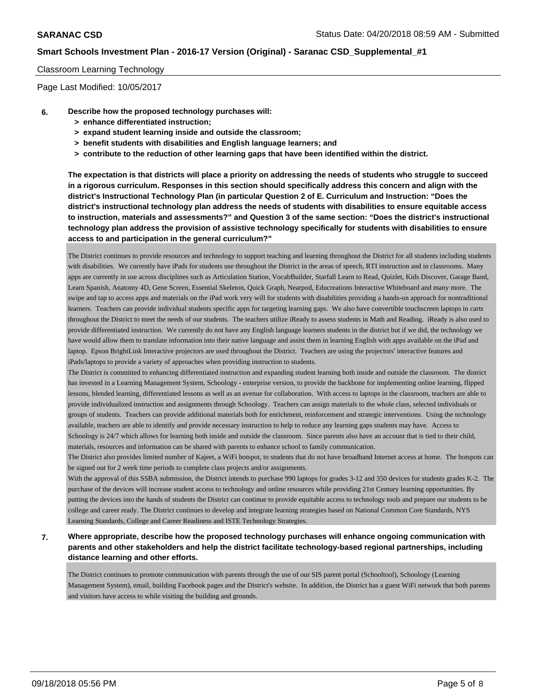### Classroom Learning Technology

Page Last Modified: 10/05/2017

- **6. Describe how the proposed technology purchases will:**
	- **> enhance differentiated instruction;**
	- **> expand student learning inside and outside the classroom;**
	- **> benefit students with disabilities and English language learners; and**
	- **> contribute to the reduction of other learning gaps that have been identified within the district.**

**The expectation is that districts will place a priority on addressing the needs of students who struggle to succeed in a rigorous curriculum. Responses in this section should specifically address this concern and align with the district's Instructional Technology Plan (in particular Question 2 of E. Curriculum and Instruction: "Does the district's instructional technology plan address the needs of students with disabilities to ensure equitable access to instruction, materials and assessments?" and Question 3 of the same section: "Does the district's instructional technology plan address the provision of assistive technology specifically for students with disabilities to ensure access to and participation in the general curriculum?"**

The District continues to provide resources and technology to support teaching and learning throughout the District for all students including students with disabilities. We currently have iPads for students use throughout the District in the areas of speech, RTI instruction and in classrooms. Many apps are currently in use across disciplines such as Articulation Station, VocabBuilder, Starfall Learn to Read, Quizlet, Kids Discover, Garage Band, Learn Spanish, Anatomy 4D, Gene Screen, Essential Skeleton, Quick Graph, Nearpod, Educreations Interactive Whiteboard and many more. The swipe and tap to access apps and materials on the iPad work very will for students with disabilities providing a hands-on approach for nontraditional learners. Teachers can provide individual students specific apps for targeting learning gaps. We also have convertible touchscreen laptops in carts throughout the District to meet the needs of our students. The teachers utilize iReady to assess students in Math and Reading. iReady is also used to provide differentiated instruction. We currently do not have any English language learners students in the district but if we did, the technology we have would allow them to translate information into their native language and assist them in learning English with apps available on the iPad and laptop. Epson BrightLink Interactive projectors are used throughout the District. Teachers are using the projectors' interactive features and iPads/laptops to provide a variety of approaches when providing instruction to students.

The District is committed to enhancing differentiated instruction and expanding student learning both inside and outside the classroom. The district has invested in a Learning Management System, Schoology - enterprise version, to provide the backbone for implementing online learning, flipped lessons, blended learning, differentiated lessons as well as an avenue for collaboration. With access to laptops in the classroom, teachers are able to provide individualized instruction and assignments through Schoology. Teachers can assign materials to the whole class, selected individuals or groups of students. Teachers can provide additional materials both for enrichment, reinforcement and strategic interventions. Using the technology available, teachers are able to identify and provide necessary instruction to help to reduce any learning gaps students may have. Access to Schoology is 24/7 which allows for learning both inside and outside the classroom. Since parents also have an account that is tied to their child, materials, resources and information can be shared with parents to enhance school to family communication.

The District also provides limited number of Kajeet, a WiFi hotspot, to students that do not have broadband Internet access at home. The hotspots can be signed out for 2 week time periods to complete class projects and/or assignments.

With the approval of this SSBA submission, the District intends to purchase 990 laptops for grades 3-12 and 350 devices for students grades K-2. The purchase of the devices will increase student access to technology and online resources while providing 21st Century learning opportunities. By putting the devices into the hands of students the District can continue to provide equitable access to technology tools and prepare our students to be college and career ready. The District continues to develop and integrate learning strategies based on National Common Core Standards, NYS Learning Standards, College and Career Readiness and ISTE Technology Strategies.

**7. Where appropriate, describe how the proposed technology purchases will enhance ongoing communication with parents and other stakeholders and help the district facilitate technology-based regional partnerships, including distance learning and other efforts.**

The District continues to promote communication with parents through the use of our SIS parent portal (Schooltool), Schoology (Learning Management System), email, building Facebook pages and the District's website. In addition, the District has a guest WiFi network that both parents and visitors have access to while visiting the building and grounds.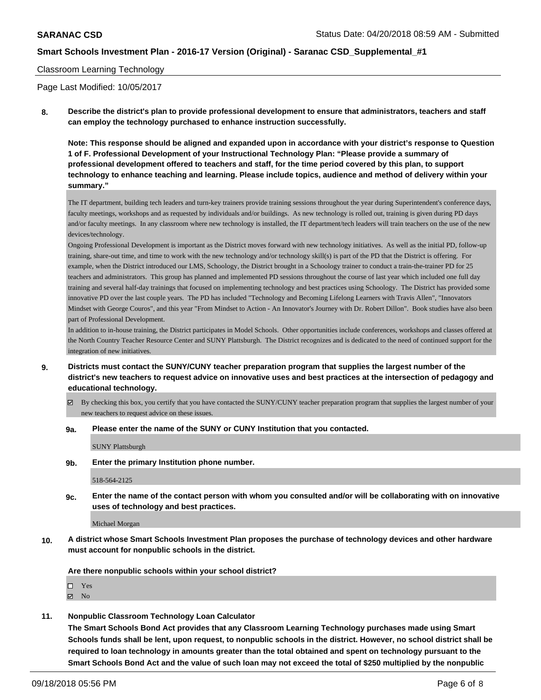#### Classroom Learning Technology

Page Last Modified: 10/05/2017

**8. Describe the district's plan to provide professional development to ensure that administrators, teachers and staff can employ the technology purchased to enhance instruction successfully.**

**Note: This response should be aligned and expanded upon in accordance with your district's response to Question 1 of F. Professional Development of your Instructional Technology Plan: "Please provide a summary of professional development offered to teachers and staff, for the time period covered by this plan, to support technology to enhance teaching and learning. Please include topics, audience and method of delivery within your summary."**

The IT department, building tech leaders and turn-key trainers provide training sessions throughout the year during Superintendent's conference days, faculty meetings, workshops and as requested by individuals and/or buildings. As new technology is rolled out, training is given during PD days and/or faculty meetings. In any classroom where new technology is installed, the IT department/tech leaders will train teachers on the use of the new devices/technology.

Ongoing Professional Development is important as the District moves forward with new technology initiatives. As well as the initial PD, follow-up training, share-out time, and time to work with the new technology and/or technology skill(s) is part of the PD that the District is offering. For example, when the District introduced our LMS, Schoology, the District brought in a Schoology trainer to conduct a train-the-trainer PD for 25 teachers and administrators. This group has planned and implemented PD sessions throughout the course of last year which included one full day training and several half-day trainings that focused on implementing technology and best practices using Schoology. The District has provided some innovative PD over the last couple years. The PD has included "Technology and Becoming Lifelong Learners with Travis Allen", "Innovators Mindset with George Couros", and this year "From Mindset to Action - An Innovator's Journey with Dr. Robert Dillon". Book studies have also been part of Professional Development.

In addition to in-house training, the District participates in Model Schools. Other opportunities include conferences, workshops and classes offered at the North Country Teacher Resource Center and SUNY Plattsburgh. The District recognizes and is dedicated to the need of continued support for the integration of new initiatives.

**9. Districts must contact the SUNY/CUNY teacher preparation program that supplies the largest number of the district's new teachers to request advice on innovative uses and best practices at the intersection of pedagogy and educational technology.**

By checking this box, you certify that you have contacted the SUNY/CUNY teacher preparation program that supplies the largest number of your new teachers to request advice on these issues.

**9a. Please enter the name of the SUNY or CUNY Institution that you contacted.**

SUNY Plattsburgh

**9b. Enter the primary Institution phone number.**

518-564-2125

**9c. Enter the name of the contact person with whom you consulted and/or will be collaborating with on innovative uses of technology and best practices.**

Michael Morgan

**10. A district whose Smart Schools Investment Plan proposes the purchase of technology devices and other hardware must account for nonpublic schools in the district.**

**Are there nonpublic schools within your school district?**

Yes

 $\boxtimes$  No

**11. Nonpublic Classroom Technology Loan Calculator**

**The Smart Schools Bond Act provides that any Classroom Learning Technology purchases made using Smart Schools funds shall be lent, upon request, to nonpublic schools in the district. However, no school district shall be required to loan technology in amounts greater than the total obtained and spent on technology pursuant to the Smart Schools Bond Act and the value of such loan may not exceed the total of \$250 multiplied by the nonpublic**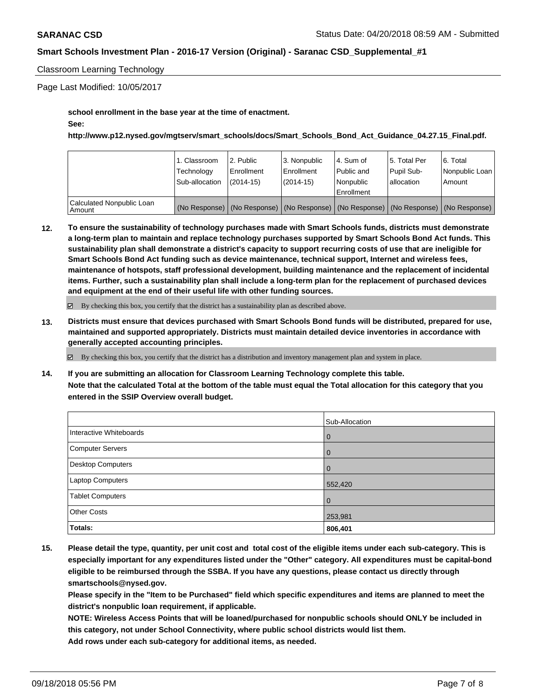### Classroom Learning Technology

Page Last Modified: 10/05/2017

**school enrollment in the base year at the time of enactment.**

### **See:**

**http://www.p12.nysed.gov/mgtserv/smart\_schools/docs/Smart\_Schools\_Bond\_Act\_Guidance\_04.27.15\_Final.pdf.**

|                                       | 1. Classroom<br>Technology<br>Sub-allocation | 2. Public<br>Enrollment<br>$(2014-15)$ | 3. Nonpublic<br>Enrollment<br>(2014-15) | l 4. Sum of<br>Public and<br>l Nonpublic<br>Enrollment | 15. Total Per<br>Pupil Sub-<br>lallocation | 6. Total<br>Nonpublic Loan  <br>Amount                                                        |
|---------------------------------------|----------------------------------------------|----------------------------------------|-----------------------------------------|--------------------------------------------------------|--------------------------------------------|-----------------------------------------------------------------------------------------------|
|                                       |                                              |                                        |                                         |                                                        |                                            |                                                                                               |
| Calculated Nonpublic Loan<br>l Amount |                                              |                                        |                                         |                                                        |                                            | (No Response)   (No Response)   (No Response)   (No Response)   (No Response)   (No Response) |

**12. To ensure the sustainability of technology purchases made with Smart Schools funds, districts must demonstrate a long-term plan to maintain and replace technology purchases supported by Smart Schools Bond Act funds. This sustainability plan shall demonstrate a district's capacity to support recurring costs of use that are ineligible for Smart Schools Bond Act funding such as device maintenance, technical support, Internet and wireless fees, maintenance of hotspots, staff professional development, building maintenance and the replacement of incidental items. Further, such a sustainability plan shall include a long-term plan for the replacement of purchased devices and equipment at the end of their useful life with other funding sources.**

 $\boxtimes$  By checking this box, you certify that the district has a sustainability plan as described above.

**13. Districts must ensure that devices purchased with Smart Schools Bond funds will be distributed, prepared for use, maintained and supported appropriately. Districts must maintain detailed device inventories in accordance with generally accepted accounting principles.**

 $\boxtimes$  By checking this box, you certify that the district has a distribution and inventory management plan and system in place.

**14. If you are submitting an allocation for Classroom Learning Technology complete this table. Note that the calculated Total at the bottom of the table must equal the Total allocation for this category that you entered in the SSIP Overview overall budget.**

|                         | Sub-Allocation |
|-------------------------|----------------|
| Interactive Whiteboards | l 0            |
| Computer Servers        | l 0            |
| Desktop Computers       | $\overline{0}$ |
| Laptop Computers        | 552,420        |
| <b>Tablet Computers</b> | $\overline{0}$ |
| <b>Other Costs</b>      | 253,981        |
| Totals:                 | 806,401        |

**15. Please detail the type, quantity, per unit cost and total cost of the eligible items under each sub-category. This is especially important for any expenditures listed under the "Other" category. All expenditures must be capital-bond eligible to be reimbursed through the SSBA. If you have any questions, please contact us directly through smartschools@nysed.gov.**

**Please specify in the "Item to be Purchased" field which specific expenditures and items are planned to meet the district's nonpublic loan requirement, if applicable.**

**NOTE: Wireless Access Points that will be loaned/purchased for nonpublic schools should ONLY be included in this category, not under School Connectivity, where public school districts would list them. Add rows under each sub-category for additional items, as needed.**